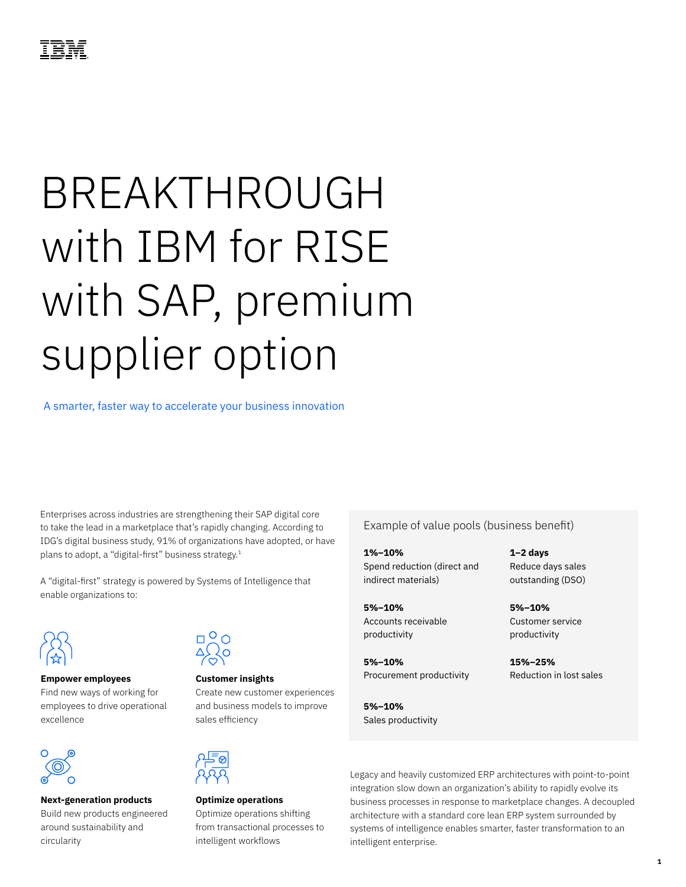## ®

# BREAKTHROUGH with IBM for RISE with SAP, premium supplier option

A smarter, faster way to accelerate your business innovation

Enterprises across industries are strengthening their SAP digital core to take the lead in a marketplace that's rapidly changing. According to IDG's digital business study, 91% of organizations have adopted, or have plans to adopt, a "digital-first" business strategy.<sup>1</sup>

A "digital-first" strategy is powered by Systems of Intelligence that enable organizations to:



#### **Empower employees**

Find new ways of working for employees to drive operational excellence



#### **Next-generation products**

Build new products engineered around sustainability and circularity



**Customer insights** Create new customer experiences and business models to improve sales efficiency



**Optimize operations** Optimize operations shifting from transactional processes to intelligent workflows

Example of value pools (business benefit)

**1%–10%** Spend reduction (direct and indirect materials)

**5%–10%** Accounts receivable productivity

**5%–10%** Procurement productivity

**5%–10%** Sales productivity **1–2 days** Reduce days sales outstanding (DSO)

**5%–10%** Customer service productivity

**15%–25%** Reduction in lost sales

Legacy and heavily customized ERP architectures with point-to-point integration slow down an organization's ability to rapidly evolve its business processes in response to marketplace changes. A decoupled architecture with a standard core lean ERP system surrounded by systems of intelligence enables smarter, faster transformation to an intelligent enterprise.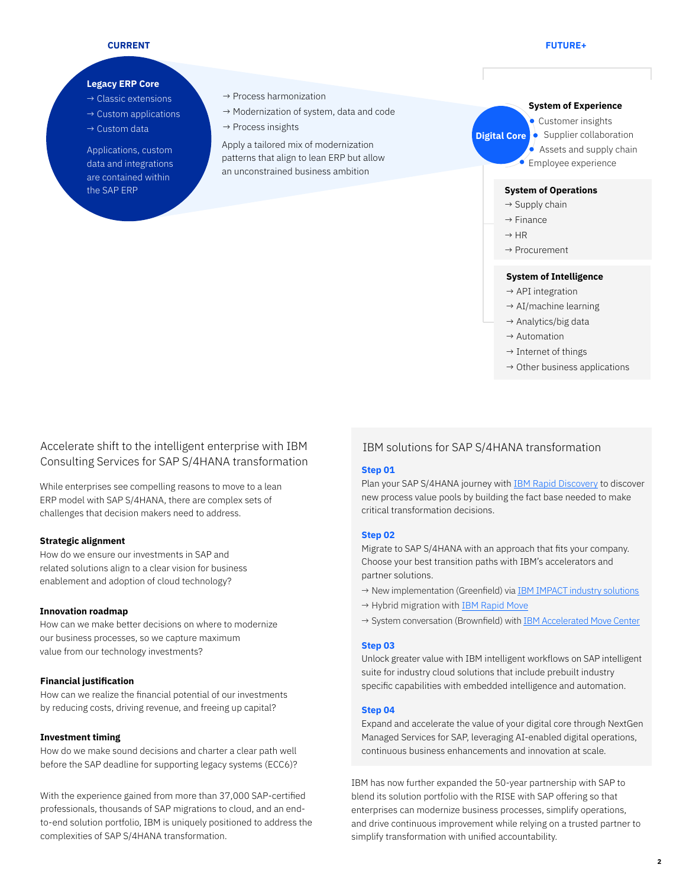#### **CURRENT**

#### **FUTURE+**

#### **Legacy ERP Core**

- $\rightarrow$  Classic extensions
- $\rightarrow$  Custom applications
- $\rightarrow$  Custom data

Applications, custom data and integrations are contained within the SAP ERP **System of Operations**

- $\rightarrow$  Process harmonization
- → Modernization of system, data and code
- $\rightarrow$  Process insights

Apply a tailored mix of modernization patterns that align to lean ERP but allow an unconstrained business ambition

#### **System of Experience**

**Digital Core** • Supplier collaboration **Customer insights** 

 $\triangle$  Assets and supply chain

Employee experience

 $\rightarrow$  Supply chain

- $\rightarrow$  Finance
- $\rightarrow$  HR
- → Procurement

#### **System of Intelligence**

- $\rightarrow$  API integration
- $\rightarrow$  AI/machine learning
- $\rightarrow$  Analytics/big data
- $\rightarrow$  Automation
- $\rightarrow$  Internet of things
- $\rightarrow$  Other business applications

### Accelerate shift to the intelligent enterprise with IBM Consulting Services for SAP S/4HANA transformation

While enterprises see compelling reasons to move to a lean ERP model with SAP S/4HANA, there are complex sets of challenges that decision makers need to address.

#### **Strategic alignment**

How do we ensure our investments in SAP and related solutions align to a clear vision for business enablement and adoption of cloud technology?

#### **Innovation roadmap**

How can we make better decisions on where to modernize our business processes, so we capture maximum value from our technology investments?

#### **Financial justification**

How can we realize the financial potential of our investments by reducing costs, driving revenue, and freeing up capital?

#### **Investment timing**

How do we make sound decisions and charter a clear path well before the SAP deadline for supporting legacy systems (ECC6)?

With the experience gained from more than 37,000 SAP-certified professionals, thousands of SAP migrations to cloud, and an endto-end solution portfolio, IBM is uniquely positioned to address the complexities of SAP S/4HANA transformation.

#### IBM solutions for SAP S/4HANA transformation

#### **Step 01**

Plan your SAP S/4HANA journey with [IBM Rapid Discovery](https://www.ibm.com/services/resources/rapid-discovery/) to discover new process value pools by building the fact base needed to make critical transformation decisions.

#### **Step 02**

Migrate to SAP S/4HANA with an approach that fits your company. Choose your best transition paths with IBM's accelerators and partner solutions.

- → New implementation (Greenfield) via **IBM IMPACT** industry solutions
- → Hybrid migration with [IBM Rapid Move](https://mediacenter.ibm.com/media/Move+your+Enterprise+to+SAP+S+4HANA+with+IBM+Rapid+Move/1_5q923wgy)
- → System conversation (Brownfield) with [IBM Accelerated Move Center](https://mediacenter.ibm.com/media/IBM+Accelerated+Move+Center+-+Accelerate+your+move+to+the+Intelligent+Enterprise/1_h57ck02f)

#### **Step 03**

Unlock greater value with IBM intelligent workflows on SAP intelligent suite for industry cloud solutions that include prebuilt industry specific capabilities with embedded intelligence and automation.

#### **Step 04**

Expand and accelerate the value of your digital core through NextGen Managed Services for SAP, leveraging AI-enabled digital operations, continuous business enhancements and innovation at scale.

IBM has now further expanded the 50-year partnership with SAP to blend its solution portfolio with the RISE with SAP offering so that enterprises can modernize business processes, simplify operations, and drive continuous improvement while relying on a trusted partner to simplify transformation with unified accountability.